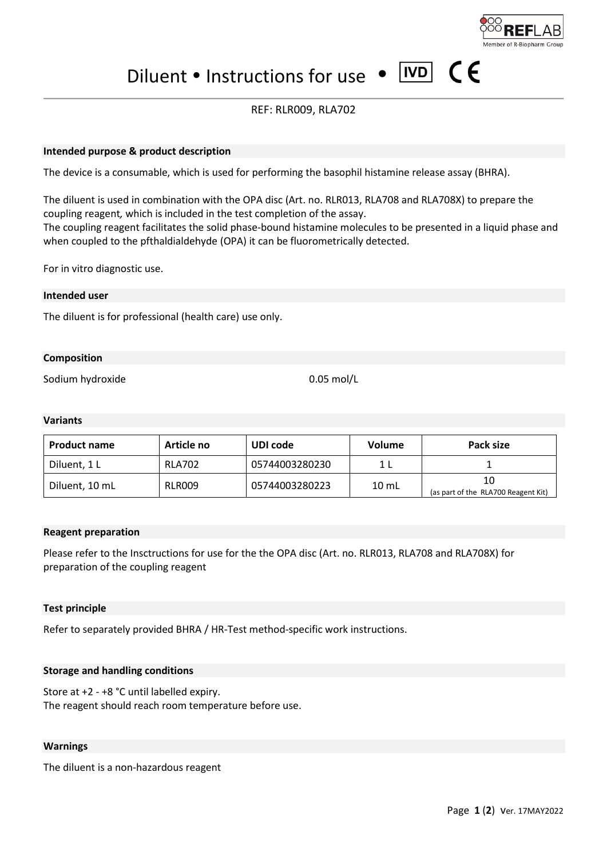$\epsilon$ 

Diluent • Instructions for use • IVD

## REF: RLR009, RLA702

#### **Intended purpose & product description**

The device is a consumable, which is used for performing the basophil histamine release assay (BHRA).

The diluent is used in combination with the OPA disc (Art. no. RLR013, RLA708 and RLA708X) to prepare the coupling reagent*,* which is included in the test completion of the assay. The coupling reagent facilitates the solid phase-bound histamine molecules to be presented in a liquid phase and when coupled to the pfthaldialdehyde (OPA) it can be fluorometrically detected.

For in vitro diagnostic use.

#### **Intended user**

The diluent is for professional (health care) use only.

#### **Composition**

Sodium hydroxide 0.05 mol/L

#### **Variants**

| <b>Product name</b> | Article no    | UDI code       | Volume          | Pack size                                 |
|---------------------|---------------|----------------|-----------------|-------------------------------------------|
| Diluent, 1 L        | <b>RLA702</b> | 05744003280230 |                 |                                           |
| Diluent, 10 mL      | <b>RLR009</b> | 05744003280223 | $10 \text{ mL}$ | 10<br>(as part of the RLA700 Reagent Kit) |

#### **Reagent preparation**

Please refer to the Insctructions for use for the the OPA disc (Art. no. RLR013, RLA708 and RLA708X) for preparation of the coupling reagent

#### **Test principle**

Refer to separately provided BHRA / HR-Test method-specific work instructions.

#### **Storage and handling conditions**

Store at +2 - +8 °C until labelled expiry. The reagent should reach room temperature before use.

#### **Warnings**

The diluent is a non-hazardous reagent